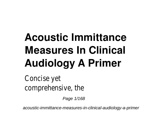## **Acoustic Immittance Measures In Clinical Audiology A Primer**

Concise yet comprehensive, the

Page 1/168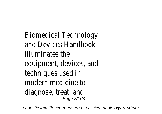Biomedical Technology and Devices Handbook illuminates the equipment, devices, and techniques used in modern medicine to diagnose, treat, and Page 2/168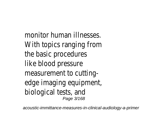monitor human illnesses. With topics ranging from the basic procedures like blood pressure measurement to cuttingedge imaging equipment, biological tests, and Page 3/168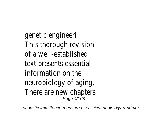genetic engineeri This thorough revision of a well-established text presents essential information on the neurobiology of aging. There are new chapters Page 4/168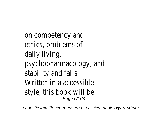on competency and ethics, problems of daily living, psychopharmacology, and stability and falls. Written in a accessible style, this book will be Page 5/168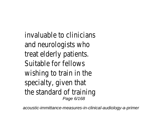invaluable to clinicians and neurologists who treat elderly patients. Suitable for fellows wishing to train in the specialty, given that the standard of training Page 6/168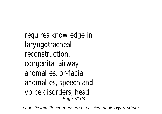requires knowledge in laryngotracheal reconstruction, congenital airway anomalies, or-facial anomalies, speech and voice disorders, head Page 7/168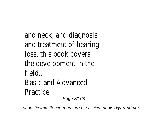and neck, and diagnosis and treatment of hearing loss, this book covers the development in the field.. Basic and Advanced Practice Page 8/168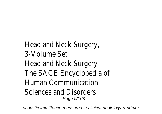Head and Neck Surgery, 3-Volume Set Head and Neck Surgery The SAGE Encyclopedia of Human Communication Sciences and Disorders Page  $9/168$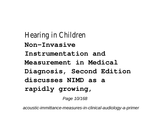Hearing in Children **Non-Invasive Instrumentation and Measurement in Medical Diagnosis, Second Edition discusses NIMD as a rapidly growing,**

Page 10/168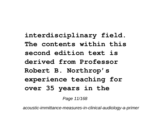**interdisciplinary field. The contents within this second edition text is derived from Professor Robert B. Northrop's experience teaching for over 35 years in the**

Page 11/168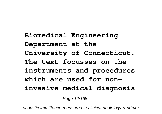**Biomedical Engineering Department at the University of Connecticut. The text focusses on the instruments and procedures which are used for noninvasive medical diagnosis**

Page 12/168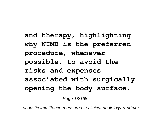**and therapy, highlighting why NIMD is the preferred procedure, whenever possible, to avoid the risks and expenses associated with surgically opening the body surface.**

Page 13/168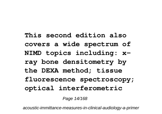**This second edition also covers a wide spectrum of NIMD topics including: xray bone densitometry by the DEXA method; tissue fluorescence spectroscopy; optical interferometric**

Page 14/168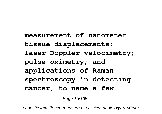**measurement of nanometer tissue displacements; laser Doppler velocimetry; pulse oximetry; and applications of Raman spectroscopy in detecting cancer, to name a few.**

Page 15/168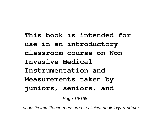**This book is intended for use in an introductory classroom course on Non-Invasive Medical Instrumentation and Measurements taken by juniors, seniors, and**

Page 16/168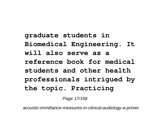**graduate students in Biomedical Engineering. It will also serve as a reference book for medical students and other health professionals intrigued by the topic. Practicing**

Page 17/168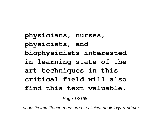**physicians, nurses, physicists, and biophysicists interested in learning state of the art techniques in this critical field will also find this text valuable.**

Page 18/168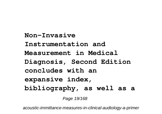**Non-Invasive Instrumentation and Measurement in Medical Diagnosis, Second Edition concludes with an expansive index, bibliography, as well as a**

Page 19/168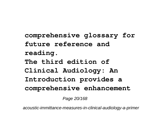**comprehensive glossary for future reference and reading. The third edition of Clinical Audiology: An Introduction provides a comprehensive enhancement**

Page 20/168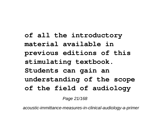**of all the introductory material available in previous editions of this stimulating textbook. Students can gain an understanding of the scope of the field of audiology**

Page 21/168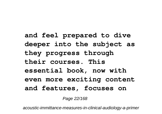**and feel prepared to dive deeper into the subject as they progress through their courses. This essential book, now with even more exciting content and features, focuses on**

Page 22/168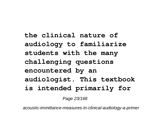**the clinical nature of audiology to familiarize students with the many challenging questions encountered by an audiologist. This textbook is intended primarily for**

Page 23/168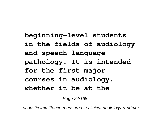**beginning-level students in the fields of audiology and speech-language pathology. It is intended for the first major courses in audiology, whether it be at the**

Page 24/168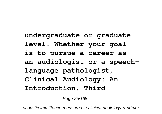**undergraduate or graduate level. Whether your goal is to pursue a career as an audiologist or a speechlanguage pathologist, Clinical Audiology: An Introduction, Third**

Page 25/168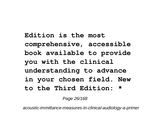**Edition is the most comprehensive, accessible book available to provide you with the clinical understanding to advance in your chosen field. New to the Third Edition: \***

Page 26/168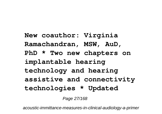**New coauthor: Virginia Ramachandran, MSW, AuD, PhD \* Two new chapters on implantable hearing technology and hearing assistive and connectivity technologies \* Updated**

Page 27/168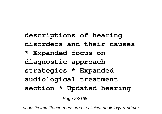**descriptions of hearing disorders and their causes \* Expanded focus on diagnostic approach strategies \* Expanded audiological treatment section \* Updated hearing**

Page 28/168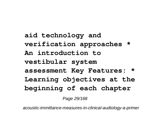**aid technology and verification approaches \* An introduction to vestibular system assessment Key Features: \* Learning objectives at the beginning of each chapter**

Page 29/168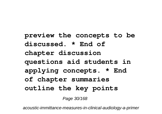**preview the concepts to be discussed. \* End of chapter discussion questions aid students in applying concepts. \* End of chapter summaries outline the key points**

Page 30/168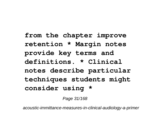**from the chapter improve retention \* Margin notes provide key terms and definitions. \* Clinical notes describe particular techniques students might consider using \***

Page 31/168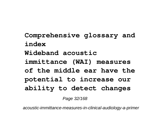**Comprehensive glossary and index Wideband acoustic immittance (WAI) measures of the middle ear have the potential to increase our ability to detect changes**

Page 32/168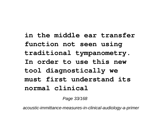**in the middle ear transfer function not seen using traditional tympanometry. In order to use this new tool diagnostically we must first understand its normal clinical**

Page 33/168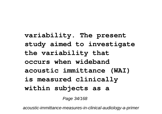**variability. The present study aimed to investigate the variability that occurs when wideband acoustic immittance (WAI) is measured clinically within subjects as a**

Page 34/168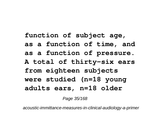**function of subject age, as a function of time, and as a function of pressure. A total of thirty-six ears from eighteen subjects were studied (n=18 young adults ears, n=18 older**

Page 35/168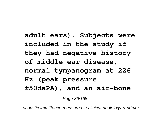**adult ears). Subjects were included in the study if they had negative history of middle ear disease, normal tympanogram at 226 Hz (peak pressure ±50daPA), and an air-bone**

Page 36/168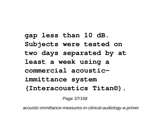**gap less than 10 dB. Subjects were tested on two days separated by at least a week using a commercial acousticimmittance system (Interacoustics Titan©).**

Page 37/168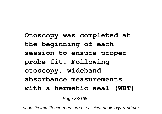**Otoscopy was completed at the beginning of each session to ensure proper probe fit. Following otoscopy, wideband absorbance measurements with a hermetic seal (WBT)**

Page 38/168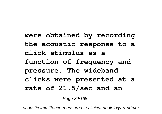**were obtained by recording the acoustic response to a click stimulus as a function of frequency and pressure. The wideband clicks were presented at a rate of 21.5/sec and an**

Page 39/168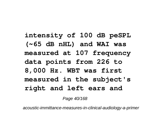**intensity of 100 dB peSPL (~65 dB nHL) and WAI was measured at 107 frequency data points from 226 to 8,000 Hz. WBT was first measured in the subject's right and left ears and**

Page 40/168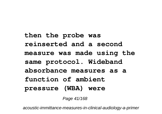**then the probe was reinserted and a second measure was made using the same protocol. Wideband absorbance measures as a function of ambient pressure (WBA) were**

Page 41/168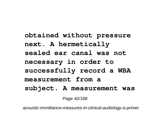**obtained without pressure next. A hermetically sealed ear canal was not necessary in order to successfully record a WBA measurement from a subject. A measurement was**

Page 42/168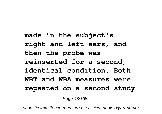**made in the subject's right and left ears, and then the probe was reinserted for a second, identical condition. Both WBT and WBA measures were repeated on a second study**

Page 43/168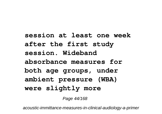**session at least one week after the first study session. Wideband absorbance measures for both age groups, under ambient pressure (WBA) were slightly more**

Page 44/168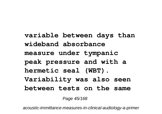**variable between days than wideband absorbance measure under tympanic peak pressure and with a hermetic seal (WBT). Variability was also seen between tests on the same**

Page 45/168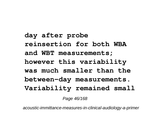**day after probe reinsertion for both WBA and WBT measurements; however this variability was much smaller than the between-day measurements. Variability remained small**

Page 46/168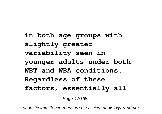**in both age groups with slightly greater variability seen in younger adults under both WBT and WBA conditions. Regardless of these factors, essentially all**

Page 47/168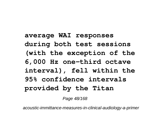**average WAI responses during both test sessions (with the exception of the 6,000 Hz one-third octave interval), fell within the 95% confidence intervals provided by the Titan**

Page 48/168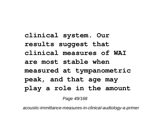**clinical system. Our results suggest that clinical measures of WAI are most stable when measured at tympanometric peak, and that age may play a role in the amount**

Page 49/168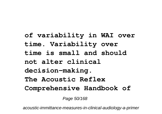**of variability in WAI over time. Variability over time is small and should not alter clinical decision-making. The Acoustic Reflex Comprehensive Handbook of**

Page 50/168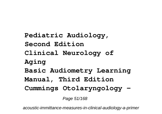**Pediatric Audiology, Second Edition Clinical Neurology of Aging Basic Audiometry Learning Manual, Third Edition Cummings Otolaryngology -**

Page 51/168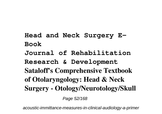**Head and Neck Surgery E-Book Journal of Rehabilitation Research & Development Sataloff's Comprehensive Textbook of Otolaryngology: Head & Neck Surgery - Otology/Neurotology/Skull**

Page 52/168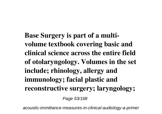**Base Surgery is part of a multivolume textbook covering basic and clinical science across the entire field of otolaryngology. Volumes in the set include; rhinology, allergy and immunology; facial plastic and reconstructive surgery; laryngology;**

Page 53/168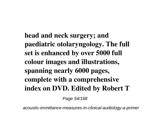**head and neck surgery; and paediatric otolaryngology. The full set is enhanced by over 5000 full colour images and illustrations, spanning nearly 6000 pages, complete with a comprehensive index on DVD. Edited by Robert T**

Page 54/168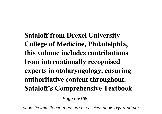**Sataloff from Drexel University College of Medicine, Philadelphia, this volume includes contributions from internationally recognised experts in otolaryngology, ensuring authoritative content throughout. Sataloff's Comprehensive Textbook**

Page 55/168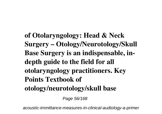**of Otolaryngology: Head & Neck Surgery – Otology/Neurotology/Skull Base Surgery is an indispensable, indepth guide to the field for all otolaryngology practitioners. Key Points Textbook of otology/neurotology/skull base**

Page 56/168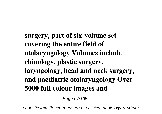**surgery, part of six-volume set covering the entire field of otolaryngology Volumes include rhinology, plastic surgery, laryngology, head and neck surgery, and paediatric otolaryngology Over 5000 full colour images and**

Page 57/168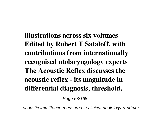**illustrations across six volumes Edited by Robert T Sataloff, with contributions from internationally recognised otolaryngology experts The Acoustic Reflex discusses the acoustic reflex - its magnitude in differential diagnosis, threshold,**

Page 58/168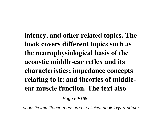**latency, and other related topics. The book covers different topics such as the neurophysiological basis of the acoustic middle-ear reflex and its characteristics; impedance concepts relating to it; and theories of middleear muscle function. The text also**

Page 59/168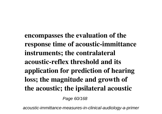**encompasses the evaluation of the response time of acoustic-immittance instruments; the contralateral acoustic-reflex threshold and its application for prediction of hearing loss; the magnitude and growth of the acoustic; the ipsilateral acoustic**

Page 60/168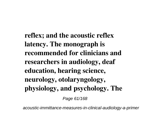**reflex; and the acoustic reflex latency. The monograph is recommended for clinicians and researchers in audiology, deaf education, hearing science, neurology, otolaryngology, physiology, and psychology. The**

Page 61/168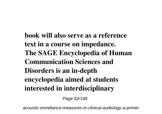**book will also serve as a reference text in a course on impedance. The SAGE Encyclopedia of Human Communication Sciences and Disorders is an in-depth encyclopedia aimed at students interested in interdisciplinary**

Page 62/168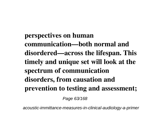**perspectives on human communication—both normal and disordered—across the lifespan. This timely and unique set will look at the spectrum of communication disorders, from causation and prevention to testing and assessment;**

Page 63/168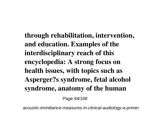**through rehabilitation, intervention, and education. Examples of the interdisciplinary reach of this encyclopedia: A strong focus on health issues, with topics such as Asperger?s syndrome, fetal alcohol syndrome, anatomy of the human**

Page 64/168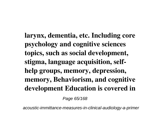**larynx, dementia, etc. Including core psychology and cognitive sciences topics, such as social development, stigma, language acquisition, selfhelp groups, memory, depression, memory, Behaviorism, and cognitive development Education is covered in**

Page 65/168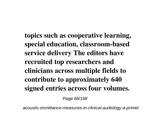**topics such as cooperative learning, special education, classroom-based service delivery The editors have recruited top researchers and clinicians across multiple fields to contribute to approximately 640 signed entries across four volumes.**

Page 66/168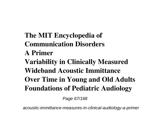**The MIT Encyclopedia of Communication Disorders A Primer Variability in Clinically Measured Wideband Acoustic Immittance Over Time in Young and Old Adults Foundations of Pediatric Audiology**

Page 67/168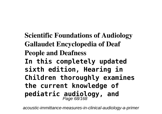**Scientific Foundations of Audiology Gallaudet Encyclopedia of Deaf People and Deafness In this completely updated sixth edition, Hearing in Children thoroughly examines the current knowledge of pediatric audiology, and** Page 68/168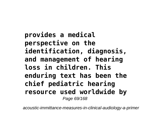**provides a medical perspective on the identification, diagnosis, and management of hearing loss in children. This enduring text has been the chief pediatric hearing resource used worldwide by** Page 69/168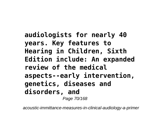**audiologists for nearly 40 years. Key features to Hearing in Children, Sixth Edition include: An expanded review of the medical aspects--early intervention, genetics, diseases and disorders, and** Page 70/168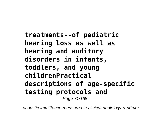**treatments--of pediatric hearing loss as well as hearing and auditory disorders in infants, toddlers, and young childrenPractical descriptions of age-specific testing protocols and** Page 71/168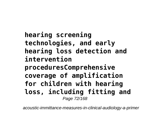**hearing screening technologies, and early hearing loss detection and intervention proceduresComprehensive coverage of amplification for children with hearing loss, including fitting and** Page 72/168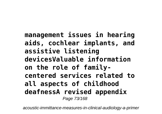**management issues in hearing aids, cochlear implants, and assistive listening devicesValuable information on the role of familycentered services related to all aspects of childhood deafnessA revised appendix** Page 73/168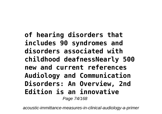**of hearing disorders that includes 90 syndromes and disorders associated with childhood deafnessNearly 500 new and current references Audiology and Communication Disorders: An Overview, 2nd Edition is an innovative** Page 74/168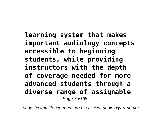**learning system that makes important audiology concepts accessible to beginning students, while providing instructors with the depth of coverage needed for more advanced students through a diverse range of assignable** Page 75/168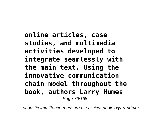**online articles, case studies, and multimedia activities developed to integrate seamlessly with the main text. Using the innovative communication chain model throughout the book, authors Larry Humes** Page 76/168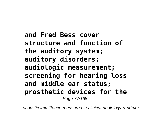**and Fred Bess cover structure and function of the auditory system; auditory disorders; audiologic measurement; screening for hearing loss and middle ear status; prosthetic devices for the** Page 77/168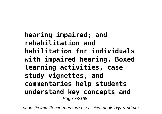**hearing impaired; and rehabilitation and habilitation for individuals with impaired hearing. Boxed learning activities, case study vignettes, and commentaries help students understand key concepts and** Page 78/168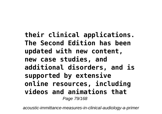**their clinical applications. The Second Edition has been updated with new content, new case studies, and additional disorders, and is supported by extensive online resources, including videos and animations that** Page 79/168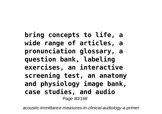**bring concepts to life, a wide range of articles, a pronunciation glossary, a question bank, labeling exercises, an interactive screening test, an anatomy and physiology image bank, case studies, and audio** Page 80/168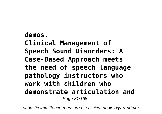## **demos. Clinical Management of Speech Sound Disorders: A Case-Based Approach meets the need of speech language pathology instructors who work with children who demonstrate articulation and** Page 81/168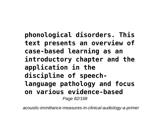**phonological disorders. This text presents an overview of case-based learning as an introductory chapter and the application in the discipline of speechlanguage pathology and focus on various evidence-based** Page 82/168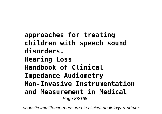**approaches for treating children with speech sound disorders. Hearing Loss Handbook of Clinical Impedance Audiometry Non-Invasive Instrumentation and Measurement in Medical** Page 83/168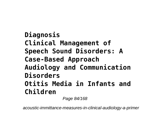**Diagnosis Clinical Management of Speech Sound Disorders: A Case-Based Approach Audiology and Communication Disorders Otitis Media in Infants and Children**

Page 84/168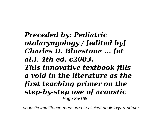*Preceded by: Pediatric otolaryngology / [edited by] Charles D. Bluestone ... [et al.]. 4th ed. c2003. This innovative textbook fills a void in the literature as the first teaching primer on the step-by-step use of acoustic* Page 85/168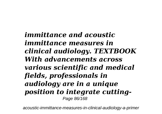*immittance and acoustic immittance measures in clinical audiology. TEXTBOOK With advancements across various scientific and medical fields, professionals in audiology are in a unique position to integrate cutting-*Page 86/168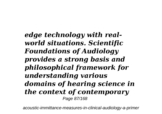*edge technology with realworld situations. Scientific Foundations of Audiology provides a strong basis and philosophical framework for understanding various domains of hearing science in the context of contemporary* Page 87/168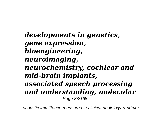*developments in genetics, gene expression, bioengineering, neuroimaging, neurochemistry, cochlear and mid-brain implants, associated speech processing and understanding, molecular* Page 88/168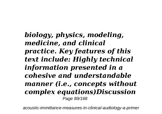*biology, physics, modeling, medicine, and clinical practice. Key features of this text include: Highly technical information presented in a cohesive and understandable manner (i.e., concepts without complex equations)Discussion* Page 89/168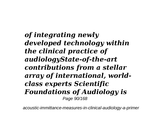*of integrating newly developed technology within the clinical practice of audiologyState-of-the-art contributions from a stellar array of international, worldclass experts Scientific Foundations of Audiology is* Page 90/168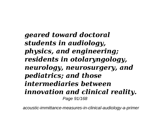*geared toward doctoral students in audiology, physics, and engineering; residents in otolaryngology, neurology, neurosurgery, and pediatrics; and those intermediaries between innovation and clinical reality.* Page 91/168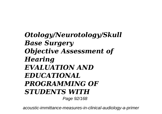*Otology/Neurotology/Skull Base Surgery Objective Assessment of Hearing EVALUATION AND EDUCATIONAL PROGRAMMING OF STUDENTS WITH* Page 92/168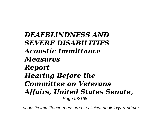*DEAFBLINDNESS AND SEVERE DISABILITIES Acoustic Immittance Measures Report Hearing Before the Committee on Veterans' Affairs, United States Senate,* Page 93/168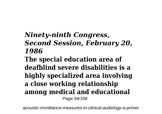## *Ninety-ninth Congress, Second Session, February 20, 1986*

**The special education area of deafblind severe disabilities is a highly specialized area involving a close working relationship among medical and educational** Page 94/168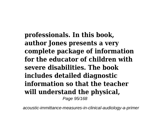**professionals. In this book, author Jones presents a very complete package of information for the educator of children with severe disabilities. The book includes detailed diagnostic information so that the teacher will understand the physical,** Page 95/168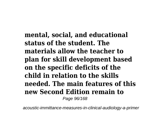**mental, social, and educational status of the student. The materials allow the teacher to plan for skill development based on the specific deficits of the child in relation to the skills needed. The main features of this new Second Edition remain to** Page 96/168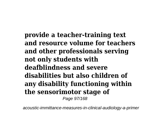**provide a teacher-training text and resource volume for teachers and other professionals serving not only students with deafblindness and severe disabilities but also children of any disability functioning within the sensorimotor stage of** Page 97/168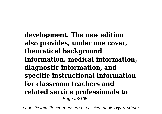**development. The new edition also provides, under one cover, theoretical background information, medical information, diagnostic information, and specific instructional information for classroom teachers and related service professionals to** Page 98/168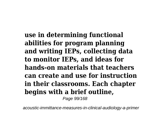**use in determining functional abilities for program planning and writing IEPs, collecting data to monitor IEPs, and ideas for hands-on materials that teachers can create and use for instruction in their classrooms. Each chapter begins with a brief outline,**

Page 99/168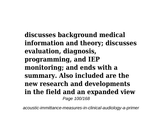**discusses background medical information and theory; discusses evaluation, diagnosis, programming, and IEP monitoring; and ends with a summary. Also included are the new research and developments in the field and an expanded view** Page 100/168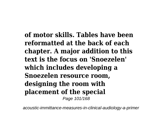**of motor skills. Tables have been reformatted at the back of each chapter. A major addition to this text is the focus on 'Snoezelen' which includes developing a Snoezelen resource room, designing the room with placement of the special** Page 101/168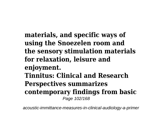**materials, and specific ways of using the Snoezelen room and the sensory stimulation materials for relaxation, leisure and enjoyment. Tinnitus: Clinical and Research Perspectives summarizes contemporary findings from basic** Page 102/168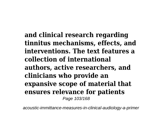**and clinical research regarding tinnitus mechanisms, effects, and interventions. The text features a collection of international authors, active researchers, and clinicians who provide an expansive scope of material that ensures relevance for patients** Page 103/168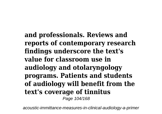**and professionals. Reviews and reports of contemporary research findings underscore the text's value for classroom use in audiology and otolaryngology programs. Patients and students of audiology will benefit from the text's coverage of tinnitus** Page 104/168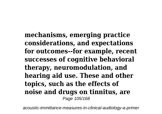**mechanisms, emerging practice considerations, and expectations for outcomes--for example, recent successes of cognitive behavioral therapy, neuromodulation, and hearing aid use. These and other topics, such as the effects of noise and drugs on tinnitus, are** Page 105/168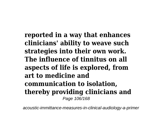**reported in a way that enhances clinicians' ability to weave such strategies into their own work. The influence of tinnitus on all aspects of life is explored, from art to medicine and communication to isolation, thereby providing clinicians and** Page 106/168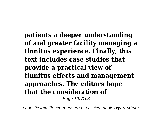**patients a deeper understanding of and greater facility managing a tinnitus experience. Finally, this text includes case studies that provide a practical view of tinnitus effects and management approaches. The editors hope that the consideration of** Page 107/168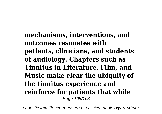**mechanisms, interventions, and outcomes resonates with patients, clinicians, and students of audiology. Chapters such as Tinnitus in Literature, Film, and Music make clear the ubiquity of the tinnitus experience and reinforce for patients that while** Page 108/168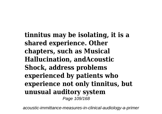**tinnitus may be isolating, it is a shared experience. Other chapters, such as Musical Hallucination, andAcoustic Shock, address problems experienced by patients who experience not only tinnitus, but unusual auditory system** Page 109/168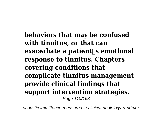**behaviors that may be confused with tinnitus, or that can exacerbate a patient** is emotional **response to tinnitus. Chapters covering conditions that complicate tinnitus management provide clinical findings that support intervention strategies.** Page 110/168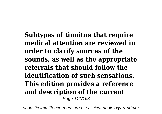**Subtypes of tinnitus that require medical attention are reviewed in order to clarify sources of the sounds, as well as the appropriate referrals that should follow the identification of such sensations. This edition provides a reference and description of the current** Page 111/168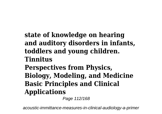## **state of knowledge on hearing and auditory disorders in infants, toddlers and young children. Tinnitus Perspectives from Physics, Biology, Modeling, and Medicine**

## **Basic Principles and Clinical Applications**

Page 112/168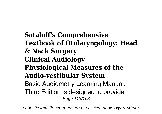**Sataloff's Comprehensive Textbook of Otolaryngology: Head & Neck Surgery Clinical Audiology Physiological Measures of the Audio-vestibular System** Basic Audiometry Learning Manual, Third Edition is designed to provide Page 113/168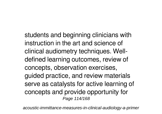students and beginning clinicians with instruction in the art and science of clinical audiometry techniques. Welldefined learning outcomes, review of concepts, observation exercises, guided practice, and review materials serve as catalysts for active learning of concepts and provide opportunity for Page 114/168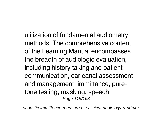utilization of fundamental audiometry methods. The comprehensive content of the Learning Manual encompasses the breadth of audiologic evaluation, including history taking and patient communication, ear canal assessment and management, immittance, puretone testing, masking, speech Page 115/168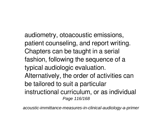audiometry, otoacoustic emissions, patient counseling, and report writing. Chapters can be taught in a serial fashion, following the sequence of a typical audiologic evaluation. Alternatively, the order of activities can be tailored to suit a particular instructional curriculum, or as individual Page 116/168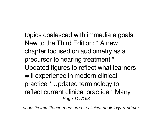topics coalesced with immediate goals. New to the Third Edition: \* A new chapter focused on audiometry as a precursor to hearing treatment \* Updated figures to reflect what learners will experience in modern clinical practice \* Updated terminology to reflect current clinical practice \* Many Page 117/168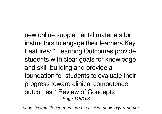new online supplemental materials for instructors to engage their learners Key Features: \* Learning Outcomes provide students with clear goals for knowledge and skill-building and provide a foundation for students to evaluate their progress toward clinical competence outcomes \* Review of Concepts Page 118/168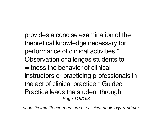provides a concise examination of the theoretical knowledge necessary for performance of clinical activities \* Observation challenges students to witness the behavior of clinical instructors or practicing professionals in the act of clinical practice \* Guided Practice leads the student through Page 119/168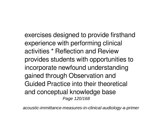exercises designed to provide firsthand experience with performing clinical activities \* Reflection and Review provides students with opportunities to incorporate newfound understanding gained through Observation and Guided Practice into their theoretical and conceptual knowledge base Page 120/168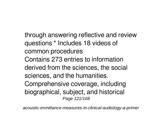through answering reflective and review questions \* Includes 18 videos of common procedures Contains 273 entries to information derived from the sciences, the social sciences, and the humanities. Comprehensive coverage, including biographical, subject, and historical Page 121/168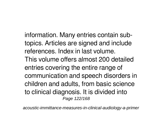information. Many entries contain subtopics. Articles are signed and include references. Index in last volume. This volume offers almost 200 detailed entries covering the entire range of communication and speech disorders in children and adults, from basic science to clinical diagnosis. It is divided into Page 122/168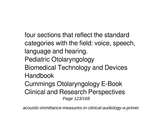four sections that reflect the standard categories with the field: voice, speech, language and hearing. Pediatric Otolaryngology Biomedical Technology and Devices **Handbook** Cummings Otolaryngology E-Book Clinical and Research Perspectives Page 123/168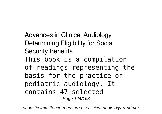Advances in Clinical Audiology Determining Eligibility for Social Security Benefits This book is a compilation of readings representing the basis for the practice of pediatric audiology. It contains 47 selected Page 124/168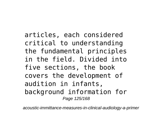articles, each considered critical to understanding the fundamental principles in the field. Divided into five sections, the book covers the development of audition in infants, background information for Page 125/168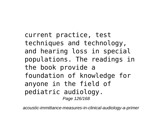current practice, test techniques and technology, and hearing loss in special populations. The readings in the book provide a foundation of knowledge for anyone in the field of pediatric audiology. Page 126/168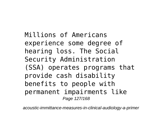Millions of Americans experience some degree of hearing loss. The Social Security Administration (SSA) operates programs that provide cash disability benefits to people with permanent impairments like Page 127/168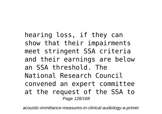hearing loss, if they can show that their impairments meet stringent SSA criteria and their earnings are below an SSA threshold. The National Research Council convened an expert committee at the request of the SSA to Page 128/168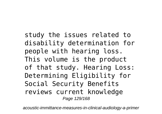study the issues related to disability determination for people with hearing loss. This volume is the product of that study. Hearing Loss: Determining Eligibility for Social Security Benefits reviews current knowledge Page 129/168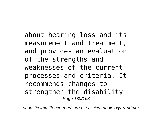about hearing loss and its measurement and treatment, and provides an evaluation of the strengths and weaknesses of the current processes and criteria. It recommends changes to strengthen the disability Page 130/168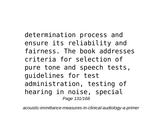determination process and ensure its reliability and fairness. The book addresses criteria for selection of pure tone and speech tests, guidelines for test administration, testing of hearing in noise, special Page 131/168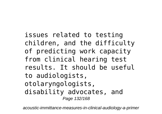issues related to testing children, and the difficulty of predicting work capacity from clinical hearing test results. It should be useful to audiologists, otolaryngologists, disability advocates, and Page 132/168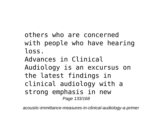others who are concerned with people who have hearing loss.

Advances in Clinical Audiology is an excursus on the latest findings in clinical audiology with a strong emphasis in new Page 133/168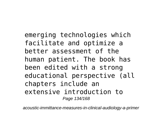emerging technologies which facilitate and optimize a better assessment of the human patient. The book has been edited with a strong educational perspective (all chapters include an extensive introduction to Page 134/168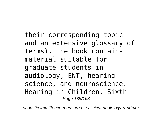their corresponding topic and an extensive glossary of terms). The book contains material suitable for graduate students in audiology, ENT, hearing science, and neuroscience. Hearing in Children, Sixth Page 135/168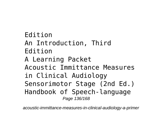Edition An Introduction, Third Edition A Learning Packet Acoustic Immittance Measures in Clinical Audiology Sensorimotor Stage (2nd Ed.) Handbook of Speech-language Page 136/168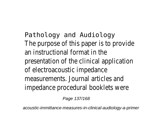Pathology and Audiology The purpose of this paper is to provide an instructional format in the presentation of the clinical application of electroacoustic impedance measurements. Journal articles and impedance procedural booklets were

Page 137/168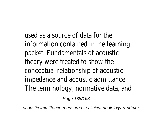used as a source of data for the information contained in the learning packet. Fundamentals of acoustic theory were treated to show the conceptual relationship of acoustic impedance and acoustic admittance. The terminology, normative data, and

Page 138/168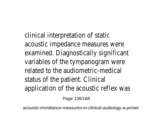clinical interpretation of static acoustic impedance measures were examined. Diagnostically significant variables of the tympanogram were related to the audiometric-medical status of the patient. Clinical application of the acoustic reflex was

Page 139/168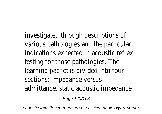investigated through descriptions of various pathologies and the particular indications expected in acoustic reflex testing for those pathologies. The learning packet is divided into four sections: impedance versus admittance, static acoustic impedance

Page 140/168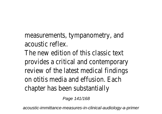measurements, tympanometry, and acoustic reflex.

The new edition of this classic text provides a critical and contemporary review of the latest medical findings on otitis media and effusion. Each chapter has been substantially

Page 141/168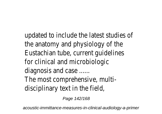updated to include the latest studies of the anatomy and physiology of the Eustachian tube, current guidelines for clinical and microbiologic diagnosis and case ...... The most comprehensive, multidisciplinary text in the field,

Page 142/168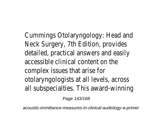Cummings Otolaryngology: Head and Neck Surgery, 7th Edition, provides detailed, practical answers and easily accessible clinical content on the complex issues that arise for otolaryngologists at all levels, across all subspecialties. This award-winning

Page 143/168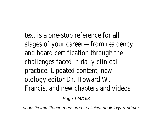text is a one-stop reference for all stages of your career—from residency and board certification through the challenges faced in daily clinical practice. Updated content, new otology editor Dr. Howard W. Francis, and new chapters and videos

Page 144/168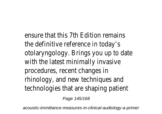ensure that this 7th Edition remains the definitive reference in today's otolaryngology. Brings you up to date with the latest minimally invasive procedures, recent changes in rhinology, and new techniques and technologies that are shaping patient

Page 145/168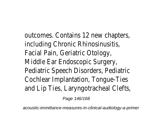outcomes. Contains 12 new chapters, including Chronic Rhinosinusitis, Facial Pain, Geriatric Otology, Middle Ear Endoscopic Surgery, Pediatric Speech Disorders, Pediatric Cochlear Implantation, Tongue-Ties and Lip Ties, Laryngotracheal Clefts,

Page 146/168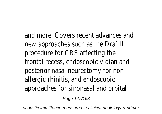and more. Covers recent advances and new approaches such as the Draf III procedure for CRS affecting the frontal recess, endoscopic vidian and posterior nasal neurectomy for nonallergic rhinitis, and endoscopic approaches for sinonasal and orbital

Page 147/168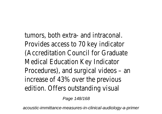tumors, both extra- and intraconal. Provides access to 70 key indicator (Accreditation Council for Graduate Medical Education Key Indicator Procedures), and surgical videos – an increase of 43% over the previous edition. Offers outstanding visual

Page 148/168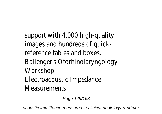support with 4,000 high-quality images and hundreds of quickreference tables and boxes. Ballenger's Otorhinolaryngology Workshop Electroacoustic Impedance **Measurements** 

Page 149/168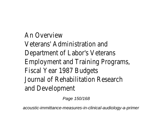An Overview Veterans' Administration and Department of Labor's Veterans Employment and Training Programs, Fiscal Year 1987 Budgets Journal of Rehabilitation Research and Development

Page 150/168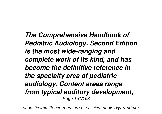*The Comprehensive Handbook of Pediatric Audiology, Second Edition is the most wide-ranging and complete work of its kind, and has become the definitive reference in the specialty area of pediatric audiology. Content areas range from typical auditory development,* Page 151/168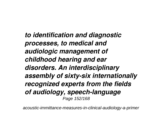*to identification and diagnostic processes, to medical and audiologic management of childhood hearing and ear disorders. An interdisciplinary assembly of sixty-six internationally recognized experts from the fields of audiology, speech-language* Page 152/168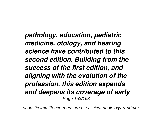*pathology, education, pediatric medicine, otology, and hearing science have contributed to this second edition. Building from the success of the first edition, and aligning with the evolution of the profession, this edition expands and deepens its coverage of early* Page 153/168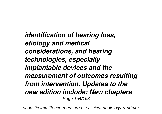*identification of hearing loss, etiology and medical considerations, and hearing technologies, especially implantable devices and the measurement of outcomes resulting from intervention. Updates to the new edition include: New chapters* Page 154/168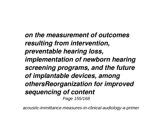*on the measurement of outcomes resulting from intervention, preventable hearing loss, implementation of newborn hearing screening programs, and the future of implantable devices, among othersReorganization for improved sequencing of content* Page 155/168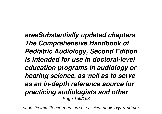*areaSubstantially updated chapters The Comprehensive Handbook of Pediatric Audiology, Second Edition is intended for use in doctoral-level education programs in audiology or hearing science, as well as to serve as an in-depth reference source for practicing audiologists and other* Page 156/168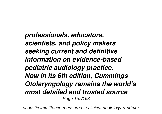*professionals, educators, scientists, and policy makers seeking current and definitive information on evidence-based pediatric audiology practice. Now in its 6th edition, Cummings Otolaryngology remains the world's most detailed and trusted source* Page 157/168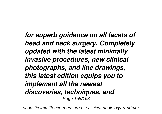*for superb guidance on all facets of head and neck surgery. Completely updated with the latest minimally invasive procedures, new clinical photographs, and line drawings, this latest edition equips you to implement all the newest discoveries, techniques, and* Page 158/168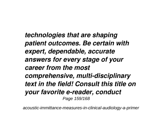*technologies that are shaping patient outcomes. Be certain with expert, dependable, accurate answers for every stage of your career from the most comprehensive, multi-disciplinary text in the field! Consult this title on your favorite e-reader, conduct* Page 159/168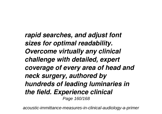*rapid searches, and adjust font sizes for optimal readability. Overcome virtually any clinical challenge with detailed, expert coverage of every area of head and neck surgery, authored by hundreds of leading luminaries in the field. Experience clinical* Page 160/168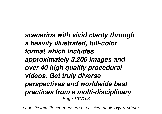*scenarios with vivid clarity through a heavily illustrated, full-color format which includes approximately 3,200 images and over 40 high quality procedural videos. Get truly diverse perspectives and worldwide best practices from a multi-disciplinary* Page 161/168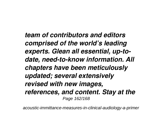*team of contributors and editors comprised of the world's leading experts. Glean all essential, up-todate, need-to-know information. All chapters have been meticulously updated; several extensively revised with new images, references, and content. Stay at the* Page 162/168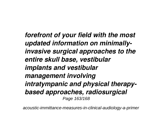*forefront of your field with the most updated information on minimallyinvasive surgical approaches to the entire skull base, vestibular implants and vestibular management involving intratympanic and physical therapybased approaches, radiosurgical* Page 163/168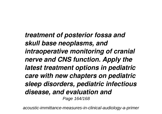*treatment of posterior fossa and skull base neoplasms, and intraoperative monitoring of cranial nerve and CNS function. Apply the latest treatment options in pediatric care with new chapters on pediatric sleep disorders, pediatric infectious disease, and evaluation and* Page 164/168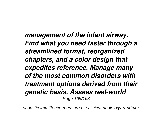*management of the infant airway. Find what you need faster through a streamlined format, reorganized chapters, and a color design that expedites reference. Manage many of the most common disorders with treatment options derived from their genetic basis. Assess real-world* Page 165/168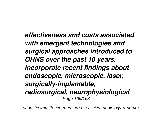*effectiveness and costs associated with emergent technologies and surgical approaches introduced to OHNS over the past 10 years. Incorporate recent findings about endoscopic, microscopic, laser, surgically-implantable, radiosurgical, neurophysiological* Page 166/168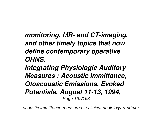*monitoring, MR- and CT-imaging, and other timely topics that now define contemporary operative OHNS.*

*Integrating Physiologic Auditory Measures : Acoustic Immittance, Otoacoustic Emissions, Evoked Potentials, August 11-13, 1994,* Page 167/168